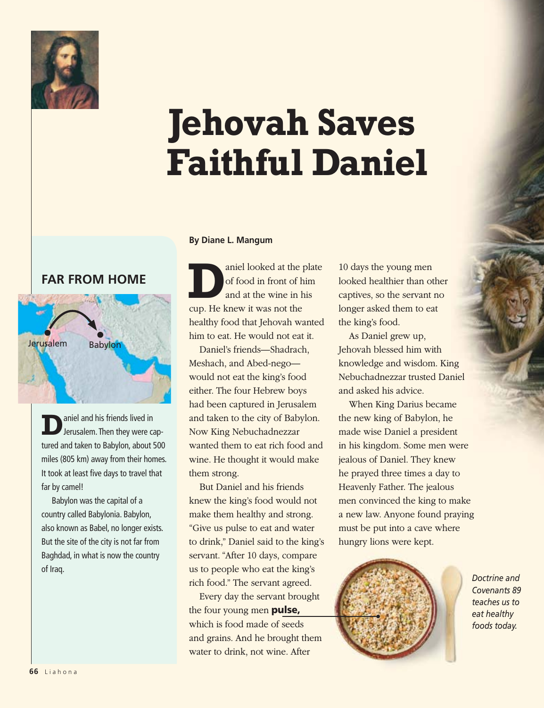

## **Jehovah Saves Faithful Daniel**

## **Far from Home**



**D**aniel and his friends lived in<br>
Jerusalem. Then they were captured and taken to Babylon, about 500 miles (805 km) away from their homes. It took at least five days to travel that far by camel!

Babylon was the capital of a country called Babylonia. Babylon, also known as Babel, no longer exists. But the site of the city is not far from Baghdad, in what is now the country of Iraq.

## **By Diane L. Mangum**

aniel looked at the plate of food in front of him and at the wine in his cup. He knew it was not the healthy food that Jehovah wanted him to eat. He would not eat it.

Daniel's friends—Shadrach, Meshach, and Abed-nego would not eat the king's food either. The four Hebrew boys had been captured in Jerusalem and taken to the city of Babylon. Now King Nebuchadnezzar wanted them to eat rich food and wine. He thought it would make them strong.

But Daniel and his friends knew the king's food would not make them healthy and strong. "Give us pulse to eat and water to drink," Daniel said to the king's servant. "After 10 days, compare us to people who eat the king's rich food." The servant agreed.

Every day the servant brought the four young men pulse, which is food made of seeds and grains. And he brought them water to drink, not wine. After

10 days the young men looked healthier than other captives, so the servant no longer asked them to eat the king's food.

As Daniel grew up, Jehovah blessed him with knowledge and wisdom. King Nebuchadnezzar trusted Daniel and asked his advice.

When King Darius became the new king of Babylon, he made wise Daniel a president in his kingdom. Some men were jealous of Daniel. They knew he prayed three times a day to Heavenly Father. The jealous men convinced the king to make a new law. Anyone found praying must be put into a cave where hungry lions were kept.



*Doctrine and Covenants 89 teaches us to eat healthy foods today.*